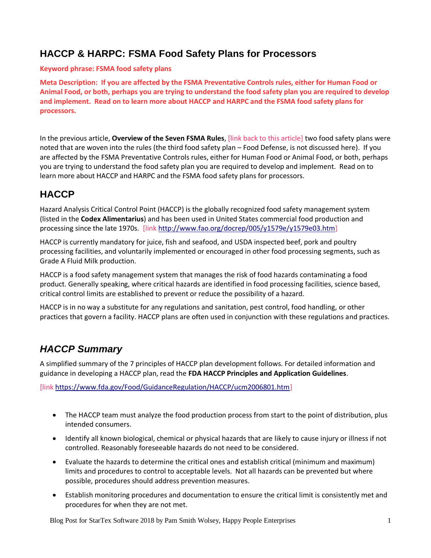### **HACCP & HARPC: FSMA Food Safety Plans for Processors**

#### **Keyword phrase: FSMA food safety plans**

**Meta Description: If you are affected by the FSMA Preventative Controls rules, either for Human Food or Animal Food, or both, perhaps you are trying to understand the food safety plan you are required to develop and implement. Read on to learn more about HACCP and HARPC and the FSMA food safety plans for processors.**

In the previous article, **Overview of the Seven FSMA Rules**, [link back to this article] two food safety plans were noted that are woven into the rules (the third food safety plan – Food Defense, is not discussed here). If you are affected by the FSMA Preventative Controls rules, either for Human Food or Animal Food, or both, perhaps you are trying to understand the food safety plan you are required to develop and implement. Read on to learn more about HACCP and HARPC and the FSMA food safety plans for processors.

# **HACCP**

Hazard Analysis Critical Control Point (HACCP) is the globally recognized food safety management system (listed in the **Codex Alimentarius**) and has been used in United States commercial food production and processing since the late 1970s. [link [http://www.fao.org/docrep/005/y1579e/y1579e03.htm\]](http://www.fao.org/docrep/005/y1579e/y1579e03.htm)

HACCP is currently mandatory for juice, fish and seafood, and USDA inspected beef, pork and poultry processing facilities, and voluntarily implemented or encouraged in other food processing segments, such as Grade A Fluid Milk production.

HACCP is a food safety management system that manages the risk of food hazards contaminating a food product. Generally speaking, where critical hazards are identified in food processing facilities, science based, critical control limits are established to prevent or reduce the possibility of a hazard.

HACCP is in no way a substitute for any regulations and sanitation, pest control, food handling, or other practices that govern a facility. HACCP plans are often used in conjunction with these regulations and practices.

#### *HACCP Summary*

A simplified summary of the 7 principles of HACCP plan development follows. For detailed information and guidance in developing a HACCP plan, read the **FDA HACCP Principles and Application Guidelines**.

[link [https://www.fda.gov/Food/GuidanceRegulation/HACCP/ucm2006801.htm\]](https://www.fda.gov/Food/GuidanceRegulation/HACCP/ucm2006801.htm)

- The HACCP team must analyze the food production process from start to the point of distribution, plus intended consumers.
- Identify all known biological, chemical or physical hazards that are likely to cause injury or illness if not controlled. Reasonably foreseeable hazards do not need to be considered.
- Evaluate the hazards to determine the critical ones and establish critical (minimum and maximum) limits and procedures to control to acceptable levels. Not all hazards can be prevented but where possible, procedures should address prevention measures.
- Establish monitoring procedures and documentation to ensure the critical limit is consistently met and procedures for when they are not met.

Blog Post for StarTex Software 2018 by Pam Smith Wolsey, Happy People Enterprises 1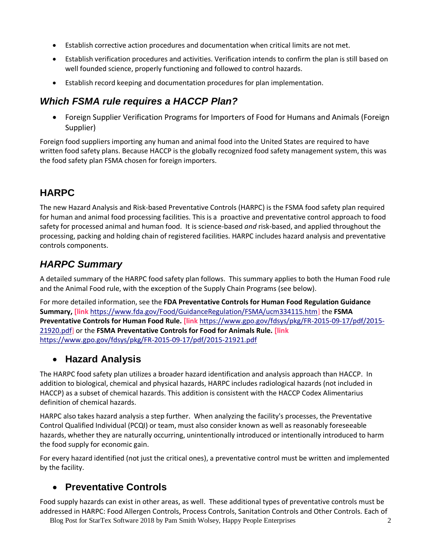- Establish corrective action procedures and documentation when critical limits are not met.
- Establish verification procedures and activities. Verification intends to confirm the plan is still based on well founded science, properly functioning and followed to control hazards.
- Establish record keeping and documentation procedures for plan implementation.

#### *Which FSMA rule requires a HACCP Plan?*

 Foreign Supplier Verification Programs for Importers of Food for Humans and Animals (Foreign Supplier)

Foreign food suppliers importing any human and animal food into the United States are required to have written food safety plans. Because HACCP is the globally recognized food safety management system, this was the food safety plan FSMA chosen for foreign importers.

# **HARPC**

The new Hazard Analysis and Risk-based Preventative Controls (HARPC) is the FSMA food safety plan required for human and animal food processing facilities. This is a proactive and preventative control approach to food safety for processed animal and human food. It is science-based *and* risk-based, and applied throughout the processing, packing and holding chain of registered facilities. HARPC includes hazard analysis and preventative controls components.

#### *HARPC Summary*

A detailed summary of the HARPC food safety plan follows. This summary applies to both the Human Food rule and the Animal Food rule, with the exception of the Supply Chain Programs (see below).

For more detailed information, see the **FDA Preventative Controls for Human Food Regulation Guidance Summary, [link** [https://www.fda.gov/Food/GuidanceRegulation/FSMA/ucm334115.htm\]](https://www.fda.gov/Food/GuidanceRegulation/FSMA/ucm334115.htm) the **FSMA Preventative Controls for Human Food Rule. [link** [https://www.gpo.gov/fdsys/pkg/FR-2015-09-17/pdf/2015-](https://www.gpo.gov/fdsys/pkg/FR-2015-09-17/pdf/2015-21920.pdf) [21920.pdf\]](https://www.gpo.gov/fdsys/pkg/FR-2015-09-17/pdf/2015-21920.pdf) or the **FSMA Preventative Controls for Food for Animals Rule. [link**  <https://www.gpo.gov/fdsys/pkg/FR-2015-09-17/pdf/2015-21921.pdf>

#### **Hazard Analysis**

The HARPC food safety plan utilizes a broader hazard identification and analysis approach than HACCP. In addition to biological, chemical and physical hazards, HARPC includes radiological hazards (not included in HACCP) as a subset of chemical hazards. This addition is consistent with the HACCP Codex Alimentarius definition of chemical hazards.

HARPC also takes hazard analysis a step further. When analyzing the facility's processes, the Preventative Control Qualified Individual (PCQI) or team, must also consider known as well as reasonably foreseeable hazards, whether they are naturally occurring, unintentionally introduced or intentionally introduced to harm the food supply for economic gain.

For every hazard identified (not just the critical ones), a preventative control must be written and implemented by the facility.

#### **Preventative Controls**

Food supply hazards can exist in other areas, as well. These additional types of preventative controls must be addressed in HARPC: Food Allergen Controls, Process Controls, Sanitation Controls and Other Controls. Each of

Blog Post for StarTex Software 2018 by Pam Smith Wolsey, Happy People Enterprises 2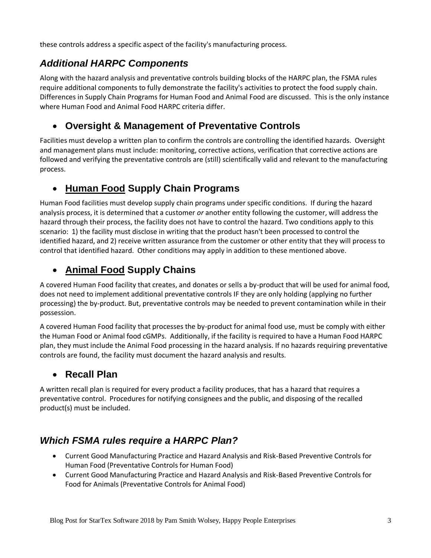these controls address a specific aspect of the facility's manufacturing process.

## *Additional HARPC Components*

Along with the hazard analysis and preventative controls building blocks of the HARPC plan, the FSMA rules require additional components to fully demonstrate the facility's activities to protect the food supply chain. Differences in Supply Chain Programs for Human Food and Animal Food are discussed. This is the only instance where Human Food and Animal Food HARPC criteria differ.

#### **Oversight & Management of Preventative Controls**

Facilities must develop a written plan to confirm the controls are controlling the identified hazards. Oversight and management plans must include: monitoring, corrective actions, verification that corrective actions are followed and verifying the preventative controls are (still) scientifically valid and relevant to the manufacturing process.

# **Human Food Supply Chain Programs**

Human Food facilities must develop supply chain programs under specific conditions. If during the hazard analysis process, it is determined that a customer *or* another entity following the customer, will address the hazard through their process, the facility does not have to control the hazard. Two conditions apply to this scenario: 1) the facility must disclose in writing that the product hasn't been processed to control the identified hazard, and 2) receive written assurance from the customer or other entity that they will process to control that identified hazard. Other conditions may apply in addition to these mentioned above.

# **Animal Food Supply Chains**

A covered Human Food facility that creates, and donates or sells a by-product that will be used for animal food, does not need to implement additional preventative controls IF they are only holding (applying no further processing) the by-product. But, preventative controls may be needed to prevent contamination while in their possession.

A covered Human Food facility that processes the by-product for animal food use, must be comply with either the Human Food or Animal food cGMPs. Additionally, if the facility is required to have a Human Food HARPC plan, they must include the Animal Food processing in the hazard analysis. If no hazards requiring preventative controls are found, the facility must document the hazard analysis and results.

#### **Recall Plan**

A written recall plan is required for every product a facility produces, that has a hazard that requires a preventative control. Procedures for notifying consignees and the public, and disposing of the recalled product(s) must be included.

# *Which FSMA rules require a HARPC Plan?*

- Current Good Manufacturing Practice and Hazard Analysis and Risk-Based Preventive Controls for Human Food (Preventative Controls for Human Food)
- Current Good Manufacturing Practice and Hazard Analysis and Risk-Based Preventive Controls for Food for Animals (Preventative Controls for Animal Food)